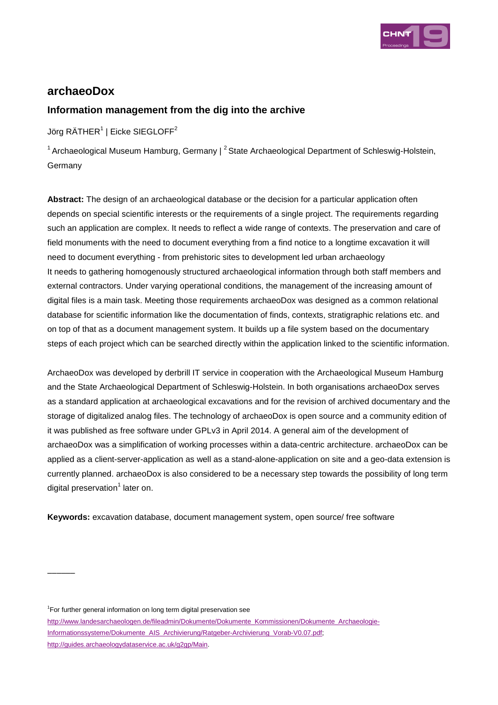

# **archaeoDox**

## **Information management from the dig into the archive**

Jörg RÄTHER $^1$  | Eicke SIEGLOFF $^2$ 

<sup>1</sup> Archaeological Museum Hamburg, Germany |  $^2$  State Archaeological Department of Schleswig-Holstein, Germany

**Abstract:** The design of an archaeological database or the decision for a particular application often depends on special scientific interests or the requirements of a single project. The requirements regarding such an application are complex. It needs to reflect a wide range of contexts. The preservation and care of field monuments with the need to document everything from a find notice to a longtime excavation it will need to document everything - from prehistoric sites to development led urban archaeology It needs to gathering homogenously structured archaeological information through both staff members and external contractors. Under varying operational conditions, the management of the increasing amount of digital files is a main task. Meeting those requirements archaeoDox was designed as a common relational database for scientific information like the documentation of finds, contexts, stratigraphic relations etc. and on top of that as a document management system. It builds up a file system based on the documentary steps of each project which can be searched directly within the application linked to the scientific information.

ArchaeoDox was developed by derbrill IT service in cooperation with the Archaeological Museum Hamburg and the State Archaeological Department of Schleswig-Holstein. In both organisations archaeoDox serves as a standard application at archaeological excavations and for the revision of archived documentary and the storage of digitalized analog files. The technology of archaeoDox is open source and a community edition of it was published as free software under GPLv3 in April 2014. A general aim of the development of archaeoDox was a simplification of working processes within a data-centric architecture. archaeoDox can be applied as a client-server-application as well as a stand-alone-application on site and a geo-data extension is currently planned. archaeoDox is also considered to be a necessary step towards the possibility of long term digital preservation<sup>1</sup> later on.

**Keywords:** excavation database, document management system, open source/ free software

<sup>1</sup>For further general information on long term digital preservation see

 $\overline{\phantom{a}}$ 

http://www.landesarchaeologen.de/fileadmin/Dokumente/Dokumente\_Kommissionen/Dokumente\_Archaeologie-Informationssysteme/Dokumente\_AIS\_Archivierung/Ratgeber-Archivierung\_Vorab-V0.07.pdf; http://guides.archaeologydataservice.ac.uk/g2gp/Main.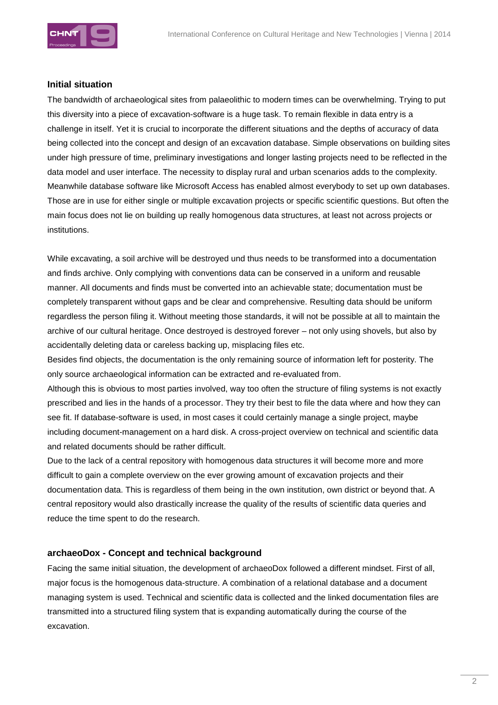

### **Initial situation**

The bandwidth of archaeological sites from palaeolithic to modern times can be overwhelming. Trying to put this diversity into a piece of excavation-software is a huge task. To remain flexible in data entry is a challenge in itself. Yet it is crucial to incorporate the different situations and the depths of accuracy of data being collected into the concept and design of an excavation database. Simple observations on building sites under high pressure of time, preliminary investigations and longer lasting projects need to be reflected in the data model and user interface. The necessity to display rural and urban scenarios adds to the complexity. Meanwhile database software like Microsoft Access has enabled almost everybody to set up own databases. Those are in use for either single or multiple excavation projects or specific scientific questions. But often the main focus does not lie on building up really homogenous data structures, at least not across projects or institutions.

While excavating, a soil archive will be destroyed und thus needs to be transformed into a documentation and finds archive. Only complying with conventions data can be conserved in a uniform and reusable manner. All documents and finds must be converted into an achievable state; documentation must be completely transparent without gaps and be clear and comprehensive. Resulting data should be uniform regardless the person filing it. Without meeting those standards, it will not be possible at all to maintain the archive of our cultural heritage. Once destroyed is destroyed forever – not only using shovels, but also by accidentally deleting data or careless backing up, misplacing files etc.

Besides find objects, the documentation is the only remaining source of information left for posterity. The only source archaeological information can be extracted and re-evaluated from.

Although this is obvious to most parties involved, way too often the structure of filing systems is not exactly prescribed and lies in the hands of a processor. They try their best to file the data where and how they can see fit. If database-software is used, in most cases it could certainly manage a single project, maybe including document-management on a hard disk. A cross-project overview on technical and scientific data and related documents should be rather difficult.

Due to the lack of a central repository with homogenous data structures it will become more and more difficult to gain a complete overview on the ever growing amount of excavation projects and their documentation data. This is regardless of them being in the own institution, own district or beyond that. A central repository would also drastically increase the quality of the results of scientific data queries and reduce the time spent to do the research.

### **archaeoDox - Concept and technical background**

Facing the same initial situation, the development of archaeoDox followed a different mindset. First of all, major focus is the homogenous data-structure. A combination of a relational database and a document managing system is used. Technical and scientific data is collected and the linked documentation files are transmitted into a structured filing system that is expanding automatically during the course of the excavation.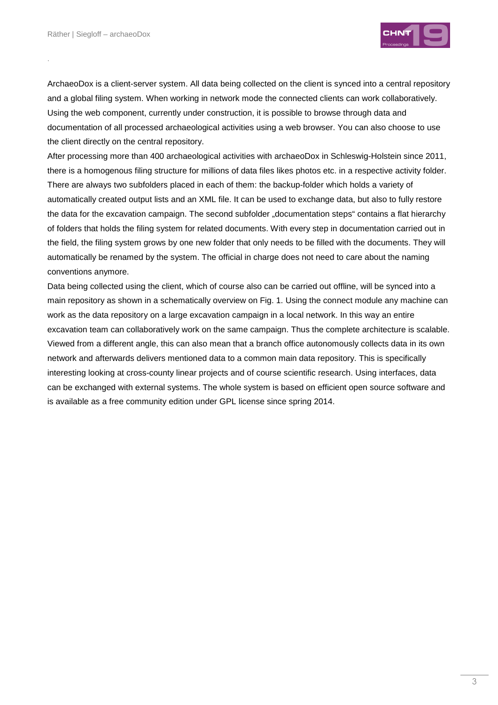.



ArchaeoDox is a client-server system. All data being collected on the client is synced into a central repository and a global filing system. When working in network mode the connected clients can work collaboratively. Using the web component, currently under construction, it is possible to browse through data and documentation of all processed archaeological activities using a web browser. You can also choose to use the client directly on the central repository.

After processing more than 400 archaeological activities with archaeoDox in Schleswig-Holstein since 2011, there is a homogenous filing structure for millions of data files likes photos etc. in a respective activity folder. There are always two subfolders placed in each of them: the backup-folder which holds a variety of automatically created output lists and an XML file. It can be used to exchange data, but also to fully restore the data for the excavation campaign. The second subfolder "documentation steps" contains a flat hierarchy of folders that holds the filing system for related documents. With every step in documentation carried out in the field, the filing system grows by one new folder that only needs to be filled with the documents. They will automatically be renamed by the system. The official in charge does not need to care about the naming conventions anymore.

Data being collected using the client, which of course also can be carried out offline, will be synced into a main repository as shown in a schematically overview on Fig. 1. Using the connect module any machine can work as the data repository on a large excavation campaign in a local network. In this way an entire excavation team can collaboratively work on the same campaign. Thus the complete architecture is scalable. Viewed from a different angle, this can also mean that a branch office autonomously collects data in its own network and afterwards delivers mentioned data to a common main data repository. This is specifically interesting looking at cross-county linear projects and of course scientific research. Using interfaces, data can be exchanged with external systems. The whole system is based on efficient open source software and is available as a free community edition under GPL license since spring 2014.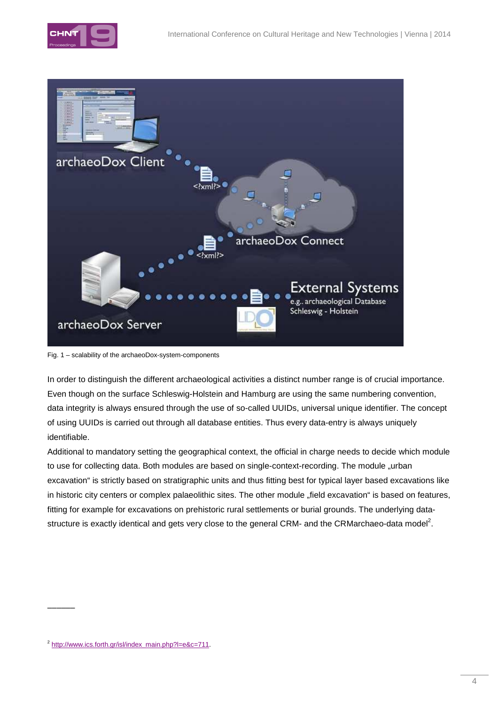



Fig. 1 – scalability of the archaeoDox-system-components

In order to distinguish the different archaeological activities a distinct number range is of crucial importance. Even though on the surface Schleswig-Holstein and Hamburg are using the same numbering convention, data integrity is always ensured through the use of so-called UUIDs, universal unique identifier. The concept of using UUIDs is carried out through all database entities. Thus every data-entry is always uniquely identifiable.

Additional to mandatory setting the geographical context, the official in charge needs to decide which module to use for collecting data. Both modules are based on single-context-recording. The module "urban excavation" is strictly based on stratigraphic units and thus fitting best for typical layer based excavations like in historic city centers or complex palaeolithic sites. The other module "field excavation" is based on features, fitting for example for excavations on prehistoric rural settlements or burial grounds. The underlying datastructure is exactly identical and gets very close to the general CRM- and the CRMarchaeo-data model<sup>2</sup>.

 $\overline{\phantom{a}}$ 

<sup>&</sup>lt;sup>2</sup> http://www.ics.forth.gr/isl/index\_main.php?l=e&c=711.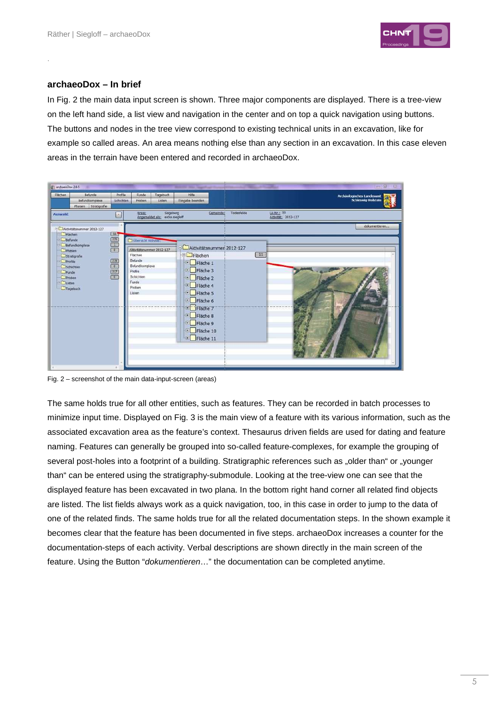

#### **archaeoDox – In brief**

.

In Fig. 2 the main data input screen is shown. Three major components are displayed. There is a tree-view on the left hand side, a list view and navigation in the center and on top a quick navigation using buttons. The buttons and nodes in the tree view correspond to existing technical units in an excavation, like for example so called areas. An area means nothing else than any section in an excavation. In this case eleven areas in the terrain have been entered and recorded in archaeoDox.



Fig. 2 – screenshot of the main data-input-screen (areas)

The same holds true for all other entities, such as features. They can be recorded in batch processes to minimize input time. Displayed on Fig. 3 is the main view of a feature with its various information, such as the associated excavation area as the feature's context. Thesaurus driven fields are used for dating and feature naming. Features can generally be grouped into so-called feature-complexes, for example the grouping of several post-holes into a footprint of a building. Stratigraphic references such as "older than" or "younger than" can be entered using the stratigraphy-submodule. Looking at the tree-view one can see that the displayed feature has been excavated in two plana. In the bottom right hand corner all related find objects are listed. The list fields always work as a quick navigation, too, in this case in order to jump to the data of one of the related finds. The same holds true for all the related documentation steps. In the shown example it becomes clear that the feature has been documented in five steps. archaeoDox increases a counter for the documentation-steps of each activity. Verbal descriptions are shown directly in the main screen of the feature. Using the Button "dokumentieren…" the documentation can be completed anytime.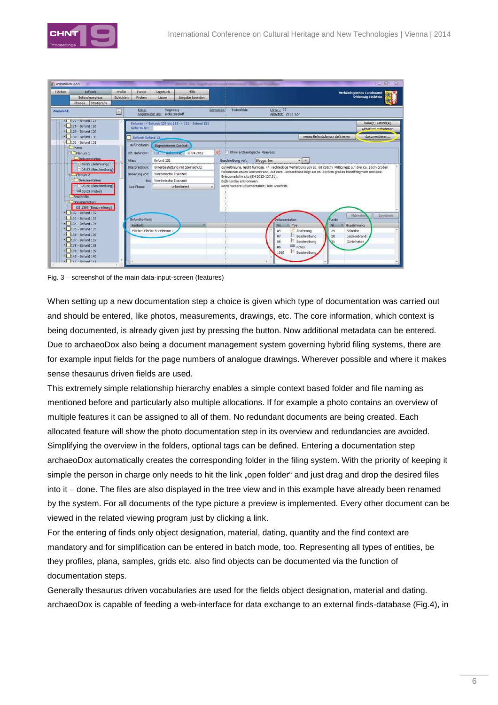

| Flächen                                                              | Befunde<br>Befundkomplexe<br>Phasen Stratigrafie                 | Profile<br>Schichten | Funde<br>Proben    | Tagebuch<br>Listen                         | Hilfe<br>Eingabe beenden                           |                        |                                                                                                          |                                                                |                                                                                                                 |                               | Archäologisches Landesamt<br>Schleswig-Holstein |
|----------------------------------------------------------------------|------------------------------------------------------------------|----------------------|--------------------|--------------------------------------------|----------------------------------------------------|------------------------|----------------------------------------------------------------------------------------------------------|----------------------------------------------------------------|-----------------------------------------------------------------------------------------------------------------|-------------------------------|-------------------------------------------------|
| Auswahl:                                                             |                                                                  | k                    | Kreis:             | Segeberg<br>Angemeldet als: eicke.siegioff |                                                    | Gemeinde:              | Todesfelde                                                                                               | LA-Nr.: 33<br>Aktivität: 2012-127                              |                                                                                                                 |                               |                                                 |
|                                                                      | $-1127 - 1000127$<br>128 - Befund 128<br>$\Box$ 129 - Befund 129 |                      | Gehe zu Nr:        |                                            | Befunde -> Befund: 124 bis 143 -> 131 - Befund 131 |                        |                                                                                                          |                                                                |                                                                                                                 |                               | Neue(r) Befund(e)<br>Altheford wonahmen         |
| $-130 - \text{Befund} 130$<br><b>B</b> 131 - Befund 131<br>$C$ Plana |                                                                  |                      | Befund: Befund 131 |                                            |                                                    |                        |                                                                                                          |                                                                |                                                                                                                 | neues Befundplanum definieren | dokumentieren                                   |
|                                                                      |                                                                  |                      | Befunddaten        | Zugewiesener Kontext                       |                                                    |                        |                                                                                                          |                                                                |                                                                                                                 |                               |                                                 |
| <b>El Planum 1</b>                                                   |                                                                  |                      | Id. Befundnr:      |                                            | 131 Wahrainne: 30.04.2012                          | $\overline{B_{\rm e}}$ |                                                                                                          | Ohne archäologische Relevanz                                   |                                                                                                                 |                               |                                                 |
|                                                                      | Dokumentation                                                    |                      | Alias:             | Befund 131                                 |                                                    |                        | Beschreibung von:                                                                                        | Bloggs, Joe                                                    | $-1$                                                                                                            |                               |                                                 |
|                                                                      | - at 39 85 (Zeichnung)                                           |                      | Interpretation:    | Urnenbestattung mit Steinschutz            |                                                    |                        |                                                                                                          |                                                                | duhkelbraune, leicht humose, +/- rechteckige Verfärbung von ca. 60 x30cm. Mittig liegt auf drei ca. 10cm großen |                               |                                                 |
| DS 87 (Beschreibung)<br>Planum <sub>2</sub><br>Dokumentation         |                                                                  |                      | Datierung von:     |                                            | Vorrömische Eisenzeit                              |                        | Feissteinen etwas Leichenbrand. Auf dem Leichenbrand liegt ein ca. 20x5cm großes Metallfragment und eine |                                                                |                                                                                                                 |                               |                                                 |
|                                                                      |                                                                  |                      | bist               | Vorrömische Eisenzeit                      |                                                    |                        |                                                                                                          | Bronzenadel in situ (SH 2012-127.31).<br>Bodenprobe entnommen. |                                                                                                                 |                               |                                                 |
|                                                                      | DS 88 (Beschreibung)                                             |                      | Aus Phase:         |                                            | unbestimmt                                         |                        |                                                                                                          | Keine weitere Dokumentation: kein Anschnitt,                   |                                                                                                                 |                               |                                                 |
|                                                                      | Lill 05 89 (Fotos)                                               |                      |                    |                                            |                                                    |                        |                                                                                                          |                                                                |                                                                                                                 |                               |                                                 |
|                                                                      | Anschnitte<br>Dolumentation                                      |                      |                    |                                            |                                                    |                        |                                                                                                          |                                                                |                                                                                                                 |                               |                                                 |
|                                                                      | DS 1569 (Beschreibung)                                           |                      |                    |                                            |                                                    |                        |                                                                                                          |                                                                |                                                                                                                 |                               |                                                 |
|                                                                      | <b>E</b> 132 - Befund 132                                        |                      |                    |                                            |                                                    |                        |                                                                                                          |                                                                |                                                                                                                 |                               | Abbrache<br>Speichern                           |
| $\Box$ 133 - Befund 133                                              |                                                                  |                      | Befundkontext:     |                                            |                                                    |                        |                                                                                                          | Dokumentation                                                  |                                                                                                                 | Funde                         |                                                 |
|                                                                      | 134 - Befund 134<br>$-135 - 8$ efund 135                         |                      | Kontext:           |                                            |                                                    |                        |                                                                                                          |                                                                | A Typ                                                                                                           | tur.                          | Bezeichnung                                     |
|                                                                      | $\boxed{\cdot}$ 136 - Befund 136                                 |                      |                    | Fläche: Fläche 3->Planum 1                 |                                                    |                        |                                                                                                          | 85<br>87                                                       | Zeichnung<br>Beschreibung                                                                                       | 29<br>Scherbe                 | Leichenbrand                                    |
|                                                                      | D 137 - Befund 137                                               |                      |                    |                                            |                                                    |                        |                                                                                                          | 88                                                             | Beschreibung                                                                                                    | 30<br>ūт                      | Gürtelhaken                                     |
|                                                                      | $\boxed{138}$ + Befund 138                                       |                      |                    |                                            |                                                    |                        |                                                                                                          | 89                                                             | ω<br>Fotos                                                                                                      |                               |                                                 |
|                                                                      |                                                                  |                      |                    |                                            |                                                    |                        |                                                                                                          |                                                                |                                                                                                                 |                               |                                                 |
|                                                                      | $E$ 139 - Befund 139<br>$-140 - \text{Befund } 140$              |                      |                    |                                            |                                                    |                        |                                                                                                          | 1569                                                           | Beschreibung                                                                                                    |                               |                                                 |

Fig. 3 – screenshot of the main data-input-screen (features)

When setting up a new documentation step a choice is given which type of documentation was carried out and should be entered, like photos, measurements, drawings, etc. The core information, which context is being documented, is already given just by pressing the button. Now additional metadata can be entered. Due to archaeoDox also being a document management system governing hybrid filing systems, there are for example input fields for the page numbers of analogue drawings. Wherever possible and where it makes sense thesaurus driven fields are used.

This extremely simple relationship hierarchy enables a simple context based folder and file naming as mentioned before and particularly also multiple allocations. If for example a photo contains an overview of multiple features it can be assigned to all of them. No redundant documents are being created. Each allocated feature will show the photo documentation step in its overview and redundancies are avoided. Simplifying the overview in the folders, optional tags can be defined. Entering a documentation step archaeoDox automatically creates the corresponding folder in the filing system. With the priority of keeping it simple the person in charge only needs to hit the link "open folder" and just drag and drop the desired files into it – done. The files are also displayed in the tree view and in this example have already been renamed by the system. For all documents of the type picture a preview is implemented. Every other document can be viewed in the related viewing program just by clicking a link.

For the entering of finds only object designation, material, dating, quantity and the find context are mandatory and for simplification can be entered in batch mode, too. Representing all types of entities, be they profiles, plana, samples, grids etc. also find objects can be documented via the function of documentation steps.

Generally thesaurus driven vocabularies are used for the fields object designation, material and dating. archaeoDox is capable of feeding a web-interface for data exchange to an external finds-database (Fig.4), in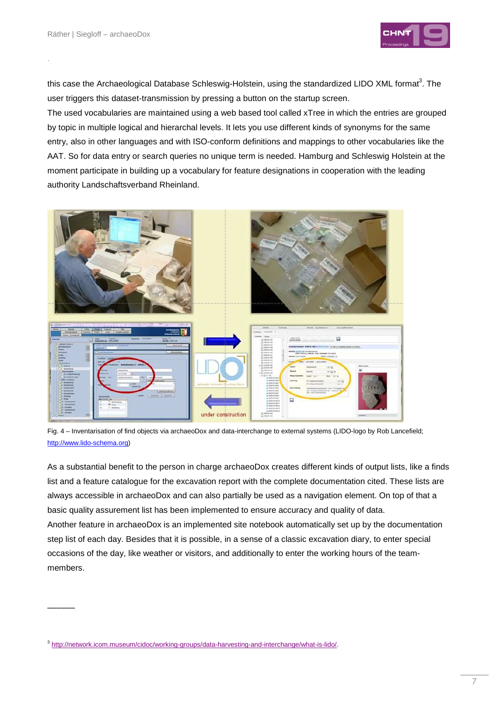.

 $\overline{\phantom{a}}$ 



this case the Archaeological Database Schleswig-Holstein, using the standardized LIDO XML format $^3$ . The user triggers this dataset-transmission by pressing a button on the startup screen.

The used vocabularies are maintained using a web based tool called xTree in which the entries are grouped by topic in multiple logical and hierarchal levels. It lets you use different kinds of synonyms for the same entry, also in other languages and with ISO-conform definitions and mappings to other vocabularies like the AAT. So for data entry or search queries no unique term is needed. Hamburg and Schleswig Holstein at the moment participate in building up a vocabulary for feature designations in cooperation with the leading authority Landschaftsverband Rheinland.



Fig. 4 – Inventarisation of find objects via archaeoDox and data-interchange to external systems (LIDO-logo by Rob Lancefield; http://www.lido-schema.org)

As a substantial benefit to the person in charge archaeoDox creates different kinds of output lists, like a finds list and a feature catalogue for the excavation report with the complete documentation cited. These lists are always accessible in archaeoDox and can also partially be used as a navigation element. On top of that a basic quality assurement list has been implemented to ensure accuracy and quality of data. Another feature in archaeoDox is an implemented site notebook automatically set up by the documentation step list of each day. Besides that it is possible, in a sense of a classic excavation diary, to enter special occasions of the day, like weather or visitors, and additionally to enter the working hours of the teammembers.

<sup>&</sup>lt;sup>3</sup> http://network.icom.museum/cidoc/working-groups/data-harvesting-and-interchange/what-is-lido/.